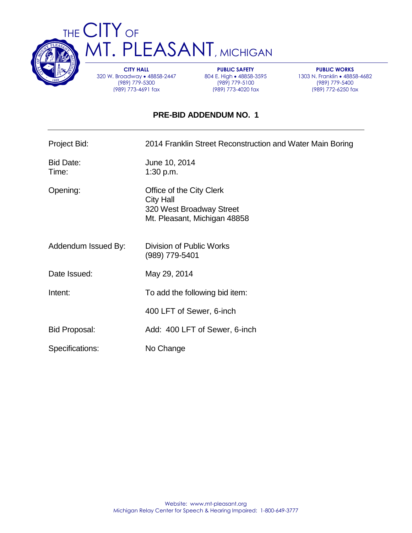

THE CITY OF T. PLEASANT, MICHIGAN

> **CITY HALL** 320 W. Broadway • 48858-2447 (989) 779-5300 (989) 773-4691 fax

**PUBLIC SAFETY** 804 E. High . 48858-3595 (989) 779-5100 (989) 773-4020 fax

**PUBLIC WORKS** 1303 N. Franklin • 48858-4682 (989) 779-5400 (989) 772-6250 fax

## **PRE-BID ADDENDUM NO. 1**

Project Bid: 2014 Franklin Street Reconstruction and Water Main Boring

Bid Date: June 10, 2014 Time: 1:30 p.m.

Opening: Office of the City Clerk City Hall 320 West Broadway Street Mt. Pleasant, Michigan 48858

- Addendum Issued By: Division of Public Works (989) 779-5401
- Date Issued: May 29, 2014
- Intent: To add the following bid item:

400 LFT of Sewer, 6-inch

- Bid Proposal: Add: 400 LFT of Sewer, 6-inch
- Specifications: No Change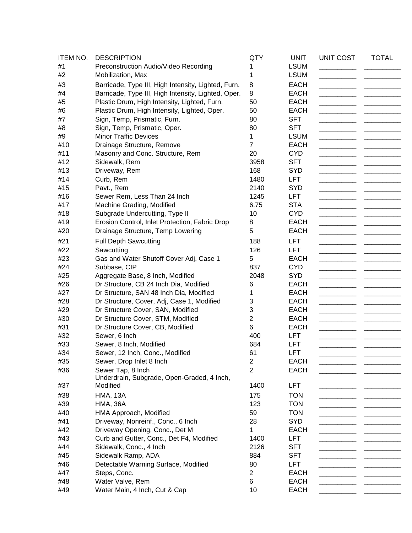| <b>ITEM NO.</b> | <b>DESCRIPTION</b>                                         | QTY                                       | <b>UNIT</b>                | <b>UNIT COST</b> | <b>TOTAL</b> |
|-----------------|------------------------------------------------------------|-------------------------------------------|----------------------------|------------------|--------------|
| #1              | Preconstruction Audio/Video Recording                      | 1                                         | <b>LSUM</b>                |                  |              |
| #2              | Mobilization, Max                                          | 1                                         | <b>LSUM</b>                |                  |              |
| #3              | Barricade, Type III, High Intensity, Lighted, Furn.        | 8                                         | <b>EACH</b>                |                  |              |
| #4              | Barricade, Type III, High Intensity, Lighted, Oper.        | 8                                         | <b>EACH</b>                |                  |              |
| #5              | Plastic Drum, High Intensity, Lighted, Furn.               | 50                                        | <b>EACH</b>                |                  |              |
| #6              | Plastic Drum, High Intensity, Lighted, Oper.               | 50                                        | <b>EACH</b>                |                  |              |
| #7              | Sign, Temp, Prismatic, Furn.                               | 80                                        | <b>SFT</b>                 |                  |              |
| #8              | Sign, Temp, Prismatic, Oper.                               | 80                                        | <b>SFT</b>                 |                  |              |
| #9              | <b>Minor Traffic Devices</b>                               | 1                                         | <b>LSUM</b>                |                  |              |
| #10             | Drainage Structure, Remove                                 | $\overline{7}$                            | <b>EACH</b>                |                  |              |
| #11             | Masonry and Conc. Structure, Rem                           | 20                                        | <b>CYD</b>                 |                  |              |
| #12             | Sidewalk, Rem                                              | 3958                                      | <b>SFT</b>                 |                  |              |
| #13             | Driveway, Rem                                              | 168                                       | <b>SYD</b>                 |                  |              |
| #14             | Curb, Rem                                                  | 1480                                      | <b>LFT</b>                 |                  |              |
| #15             | Pavt., Rem                                                 | 2140                                      | <b>SYD</b>                 |                  |              |
| #16             | Sewer Rem, Less Than 24 Inch                               | 1245                                      | <b>LFT</b>                 |                  |              |
| #17             | Machine Grading, Modified                                  | 6.75                                      | <b>STA</b>                 |                  |              |
| #18             | Subgrade Undercutting, Type II                             | 10                                        | <b>CYD</b>                 |                  |              |
| #19             | Erosion Control, Inlet Protection, Fabric Drop             | 8                                         | <b>EACH</b>                |                  |              |
| #20             | Drainage Structure, Temp Lowering                          | 5                                         | <b>EACH</b>                |                  |              |
| #21             |                                                            |                                           |                            |                  |              |
| #22             | <b>Full Depth Sawcutting</b>                               | 188<br>126                                | <b>LFT</b>                 |                  |              |
|                 | Sawcutting                                                 | 5                                         | <b>LFT</b><br><b>EACH</b>  |                  |              |
| #23             | Gas and Water Shutoff Cover Adj, Case 1                    |                                           |                            |                  |              |
| #24             | Subbase, CIP                                               | 837<br>2048                               | <b>CYD</b><br><b>SYD</b>   |                  |              |
| #25             | Aggregate Base, 8 Inch, Modified                           |                                           |                            |                  |              |
| #26             | Dr Structure, CB 24 Inch Dia, Modified                     | 6                                         | <b>EACH</b>                |                  |              |
| #27             | Dr Structure, SAN 48 Inch Dia, Modified                    | 1                                         | <b>EACH</b>                |                  |              |
| #28             | Dr Structure, Cover, Adj, Case 1, Modified                 | 3                                         | <b>EACH</b>                |                  |              |
| #29             | Dr Structure Cover, SAN, Modified                          | 3                                         | <b>EACH</b>                |                  |              |
| #30             | Dr Structure Cover, STM, Modified                          | $\overline{2}$<br>6                       | <b>EACH</b>                |                  |              |
| #31             | Dr Structure Cover, CB, Modified                           |                                           | <b>EACH</b>                |                  |              |
| #32<br>#33      | Sewer, 6 Inch                                              | 400<br>684                                | <b>LFT</b><br><b>LFT</b>   |                  |              |
| #34             | Sewer, 8 Inch, Modified<br>Sewer, 12 Inch, Conc., Modified | 61                                        | LFT                        |                  |              |
| #35             |                                                            |                                           |                            |                  |              |
| #36             | Sewer, Drop Inlet 8 Inch<br>Sewer Tap, 8 Inch              | $\overline{\mathbf{c}}$<br>$\overline{2}$ | <b>EACH</b><br><b>EACH</b> |                  |              |
|                 | Underdrain, Subgrade, Open-Graded, 4 Inch,                 |                                           |                            |                  |              |
| #37             | Modified                                                   | 1400                                      | <b>LFT</b>                 |                  |              |
| #38             | <b>HMA, 13A</b>                                            | 175                                       | <b>TON</b>                 |                  |              |
| #39             | <b>HMA, 36A</b>                                            | 123                                       | <b>TON</b>                 |                  |              |
| #40             | HMA Approach, Modified                                     | 59                                        | <b>TON</b>                 |                  |              |
| #41             | Driveway, Nonreinf., Conc., 6 Inch                         | 28                                        | <b>SYD</b>                 |                  |              |
| #42             | Driveway Opening, Conc., Det M                             | 1                                         | <b>EACH</b>                |                  |              |
| #43             | Curb and Gutter, Conc., Det F4, Modified                   | 1400                                      | LFT                        |                  |              |
| #44             | Sidewalk, Conc., 4 Inch                                    | 2126                                      | <b>SFT</b>                 |                  |              |
| #45             |                                                            | 884                                       | <b>SFT</b>                 |                  |              |
| #46             | Sidewalk Ramp, ADA<br>Detectable Warning Surface, Modified | 80                                        | LFT                        |                  |              |
| #47             | Steps, Conc.                                               | $\overline{2}$                            | <b>EACH</b>                |                  |              |
| #48             | Water Valve, Rem                                           | 6                                         | <b>EACH</b>                |                  |              |
| #49             | Water Main, 4 Inch, Cut & Cap                              | 10                                        | <b>EACH</b>                |                  |              |
|                 |                                                            |                                           |                            |                  |              |